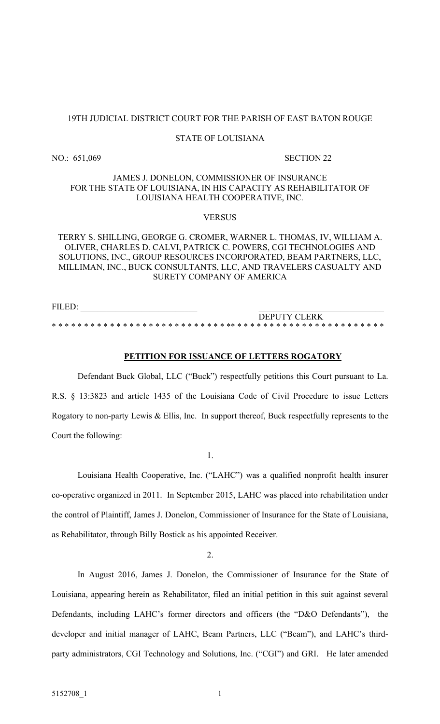#### STATE OF LOUISIANA

## JAMES J. DONELON, COMMISSIONER OF INSURANCE FOR THE STATE OF LOUISIANA, IN HIS CAPACITY AS REHABILITATOR OF LOUISIANA HEALTH COOPERATIVE, INC.

#### **VERSUS**

## TERRY S. SHILLING, GEORGE G. CROMER, WARNER L. THOMAS, IV, WILLIAM A. OLIVER, CHARLES D. CALVI, PATRICK C. POWERS, CGI TECHNOLOGIES AND SOLUTIONS, INC., GROUP RESOURCES INCORPORATED, BEAM PARTNERS, LLC, MILLIMAN, INC., BUCK CONSULTANTS, LLC, AND TRAVELERS CASUALTY AND SURETY COMPANY OF AMERICA

FILED: DEPUTY CLERK \* \* \* \* \* \* \* \* \* \* \* \* \* \* \* \* \* \* \* \* \* \* \* \* \* \* \* \*\* \* \* \* \* \* \* \* \* \* \* \* \* \* \* \* \* \* \* \* \* \* \* \*

#### PETITION FOR ISSUANCE OF LETTERS ROGATORY

Defendant Buck Global, LLC ("Buck") respectfully petitions this Court pursuant to La. R.S. § 13:3823 and article 1435 of the Louisiana Code of Civil Procedure to issue Letters Rogatory to non-party Lewis & Ellis, Inc. In support thereof, Buck respectfully represents to the Court the following:

1.

Louisiana Health Cooperative, Inc. ("LAHC") was a qualified nonprofit health insurer co-operative organized in 2011. In September 2015, LAHC was placed into rehabilitation under the control of Plaintiff, James J. Donelon, Commissioner of Insurance for the State of Louisiana, as Rehabilitator, through Billy Bostick as his appointed Receiver.

2.

In August 2016, James J. Donelon, the Commissioner of Insurance for the State of Louisiana, appearing herein as Rehabilitator, filed an initial petition in this suit against several Defendants, including LAHC's former directors and officers (the "D&O Defendants"), the developer and initial manager of LAHC, Beam Partners, LLC ("Beam"), and LAHC's thirdparty administrators, CGI Technology and Solutions, Inc. ("CGI") and GRI. He later amended

NO.: 651,069 SECTION 22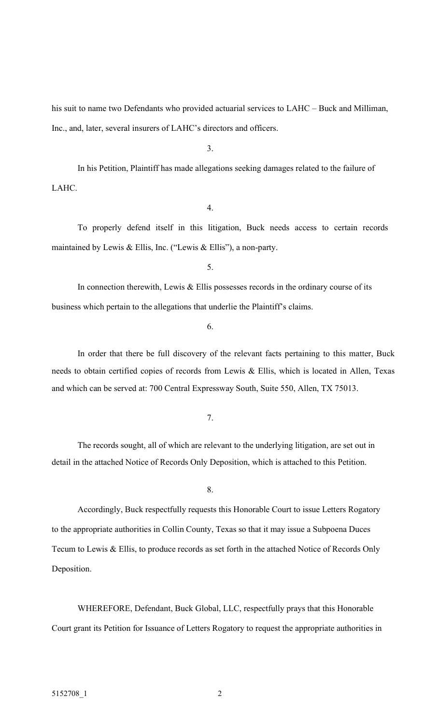his suit to name two Defendants who provided actuarial services to LAHC – Buck and Milliman, Inc., and, later, several insurers of LAHC's directors and officers.

3.

 In his Petition, Plaintiff has made allegations seeking damages related to the failure of LAHC.

4.

 To properly defend itself in this litigation, Buck needs access to certain records maintained by Lewis & Ellis, Inc. ("Lewis & Ellis"), a non-party.

5.

In connection therewith, Lewis  $&$  Ellis possesses records in the ordinary course of its business which pertain to the allegations that underlie the Plaintiff's claims.

6.

 In order that there be full discovery of the relevant facts pertaining to this matter, Buck needs to obtain certified copies of records from Lewis & Ellis, which is located in Allen, Texas and which can be served at: 700 Central Expressway South, Suite 550, Allen, TX 75013.

7.

 The records sought, all of which are relevant to the underlying litigation, are set out in detail in the attached Notice of Records Only Deposition, which is attached to this Petition.

8.

Accordingly, Buck respectfully requests this Honorable Court to issue Letters Rogatory to the appropriate authorities in Collin County, Texas so that it may issue a Subpoena Duces Tecum to Lewis & Ellis, to produce records as set forth in the attached Notice of Records Only Deposition.

 WHEREFORE, Defendant, Buck Global, LLC, respectfully prays that this Honorable Court grant its Petition for Issuance of Letters Rogatory to request the appropriate authorities in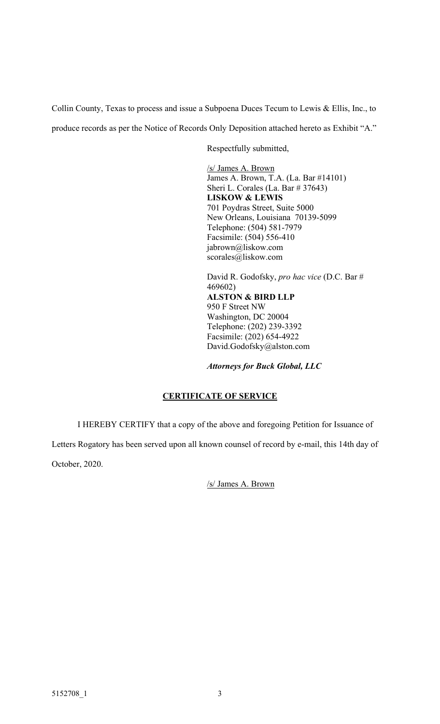Collin County, Texas to process and issue a Subpoena Duces Tecum to Lewis & Ellis, Inc., to

produce records as per the Notice of Records Only Deposition attached hereto as Exhibit "A."

Respectfully submitted,

/s/ James A. Brown James A. Brown, T.A. (La. Bar #14101) Sheri L. Corales (La. Bar # 37643) LISKOW & LEWIS 701 Poydras Street, Suite 5000 New Orleans, Louisiana 70139-5099 Telephone: (504) 581-7979 Facsimile: (504) 556-410 jabrown@liskow.com scorales@liskow.com

David R. Godofsky, pro hac vice (D.C. Bar # 469602) ALSTON & BIRD LLP 950 F Street NW Washington, DC 20004 Telephone: (202) 239-3392 Facsimile: (202) 654-4922 David.Godofsky@alston.com

Attorneys for Buck Global, LLC

# CERTIFICATE OF SERVICE

I HEREBY CERTIFY that a copy of the above and foregoing Petition for Issuance of

Letters Rogatory has been served upon all known counsel of record by e-mail, this 14th day of October, 2020.

/s/ James A. Brown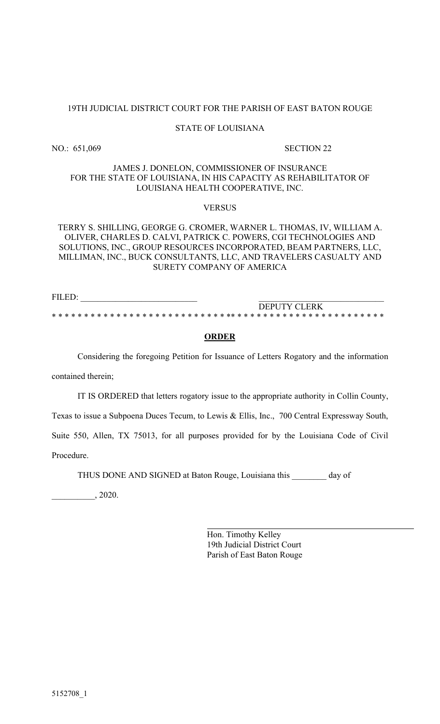#### STATE OF LOUISIANA

NO.: 651,069 SECTION 22

### JAMES J. DONELON, COMMISSIONER OF INSURANCE FOR THE STATE OF LOUISIANA, IN HIS CAPACITY AS REHABILITATOR OF LOUISIANA HEALTH COOPERATIVE, INC.

#### VERSUS

## TERRY S. SHILLING, GEORGE G. CROMER, WARNER L. THOMAS, IV, WILLIAM A. OLIVER, CHARLES D. CALVI, PATRICK C. POWERS, CGI TECHNOLOGIES AND SOLUTIONS, INC., GROUP RESOURCES INCORPORATED, BEAM PARTNERS, LLC, MILLIMAN, INC., BUCK CONSULTANTS, LLC, AND TRAVELERS CASUALTY AND SURETY COMPANY OF AMERICA

FILED: DEPUTY CLERK \* \* \* \* \* \* \* \* \* \* \* \* \* \* \* \* \* \* \* \* \* \* \* \* \* \* \* \*\* \* \* \* \* \* \* \* \* \* \* \* \* \* \* \* \* \* \* \* \* \* \* \*

#### **ORDER**

 Considering the foregoing Petition for Issuance of Letters Rogatory and the information contained therein;

IT IS ORDERED that letters rogatory issue to the appropriate authority in Collin County,

Texas to issue a Subpoena Duces Tecum, to Lewis & Ellis, Inc., 700 Central Expressway South,

Suite 550, Allen, TX 75013, for all purposes provided for by the Louisiana Code of Civil

Procedure.

THUS DONE AND SIGNED at Baton Rouge, Louisiana this \_\_\_\_\_\_\_\_ day of

l

 $\frac{1}{2020}$ .

Hon. Timothy Kelley 19th Judicial District Court Parish of East Baton Rouge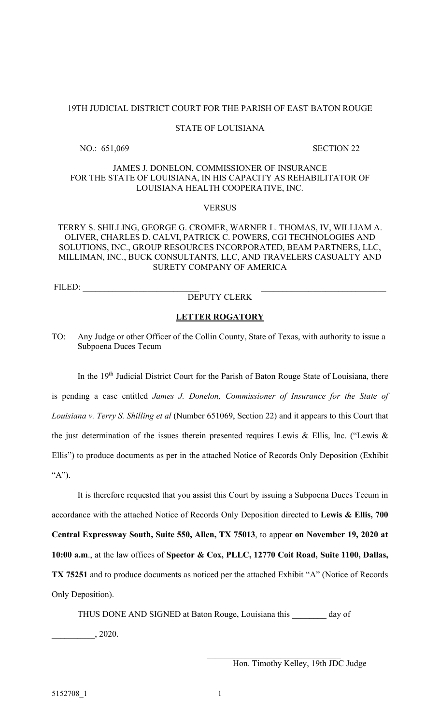#### STATE OF LOUISIANA

NO.: 651,069 SECTION 22

## JAMES J. DONELON, COMMISSIONER OF INSURANCE FOR THE STATE OF LOUISIANA, IN HIS CAPACITY AS REHABILITATOR OF LOUISIANA HEALTH COOPERATIVE, INC.

#### **VERSUS**

## TERRY S. SHILLING, GEORGE G. CROMER, WARNER L. THOMAS, IV, WILLIAM A. OLIVER, CHARLES D. CALVI, PATRICK C. POWERS, CGI TECHNOLOGIES AND SOLUTIONS, INC., GROUP RESOURCES INCORPORATED, BEAM PARTNERS, LLC, MILLIMAN, INC., BUCK CONSULTANTS, LLC, AND TRAVELERS CASUALTY AND SURETY COMPANY OF AMERICA

FILED:

## DEPUTY CLERK

#### LETTER ROGATORY

TO: Any Judge or other Officer of the Collin County, State of Texas, with authority to issue a Subpoena Duces Tecum

In the 19<sup>th</sup> Judicial District Court for the Parish of Baton Rouge State of Louisiana, there is pending a case entitled James J. Donelon, Commissioner of Insurance for the State of Louisiana v. Terry S. Shilling et al (Number 651069, Section 22) and it appears to this Court that the just determination of the issues therein presented requires Lewis & Ellis, Inc. ("Lewis & Ellis") to produce documents as per in the attached Notice of Records Only Deposition (Exhibit "A").

It is therefore requested that you assist this Court by issuing a Subpoena Duces Tecum in accordance with the attached Notice of Records Only Deposition directed to Lewis & Ellis, 700 Central Expressway South, Suite 550, Allen, TX 75013, to appear on November 19, 2020 at 10:00 a.m., at the law offices of Spector & Cox, PLLC, 12770 Coit Road, Suite 1100, Dallas, TX 75251 and to produce documents as noticed per the attached Exhibit "A" (Notice of Records Only Deposition).

THUS DONE AND SIGNED at Baton Rouge, Louisiana this day of \_\_\_\_\_\_\_\_\_\_, 2020.

Hon. Timothy Kelley, 19th JDC Judge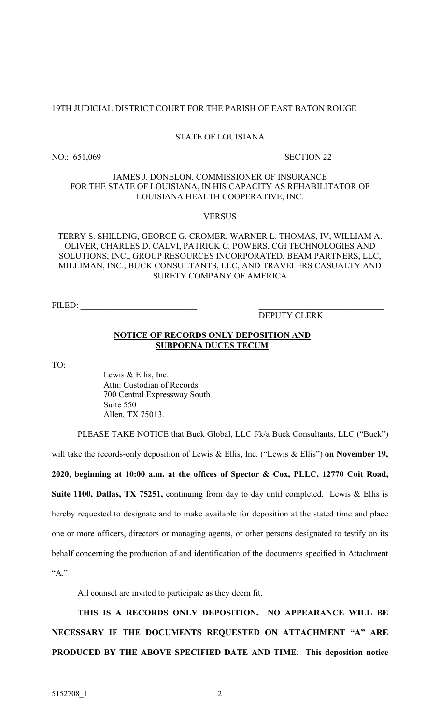#### STATE OF LOUISIANA

NO.: 651,069 SECTION 22

## JAMES J. DONELON, COMMISSIONER OF INSURANCE FOR THE STATE OF LOUISIANA, IN HIS CAPACITY AS REHABILITATOR OF LOUISIANA HEALTH COOPERATIVE, INC.

## VERSUS

TERRY S. SHILLING, GEORGE G. CROMER, WARNER L. THOMAS, IV, WILLIAM A. OLIVER, CHARLES D. CALVI, PATRICK C. POWERS, CGI TECHNOLOGIES AND SOLUTIONS, INC., GROUP RESOURCES INCORPORATED, BEAM PARTNERS, LLC, MILLIMAN, INC., BUCK CONSULTANTS, LLC, AND TRAVELERS CASUALTY AND SURETY COMPANY OF AMERICA

FILED:

## DEPUTY CLERK

#### NOTICE OF RECORDS ONLY DEPOSITION AND SUBPOENA DUCES TECUM

TO:

 Lewis & Ellis, Inc. Attn: Custodian of Records 700 Central Expressway South Suite 550 Allen, TX 75013.

PLEASE TAKE NOTICE that Buck Global, LLC f/k/a Buck Consultants, LLC ("Buck")

will take the records-only deposition of Lewis & Ellis, Inc. ("Lewis & Ellis") on November 19,

2020, beginning at 10:00 a.m. at the offices of Spector & Cox, PLLC, 12770 Coit Road, Suite 1100, Dallas, TX 75251, continuing from day to day until completed. Lewis & Ellis is hereby requested to designate and to make available for deposition at the stated time and place one or more officers, directors or managing agents, or other persons designated to testify on its behalf concerning the production of and identification of the documents specified in Attachment  $``A$ ."

All counsel are invited to participate as they deem fit.

THIS IS A RECORDS ONLY DEPOSITION. NO APPEARANCE WILL BE NECESSARY IF THE DOCUMENTS REQUESTED ON ATTACHMENT "A" ARE PRODUCED BY THE ABOVE SPECIFIED DATE AND TIME. This deposition notice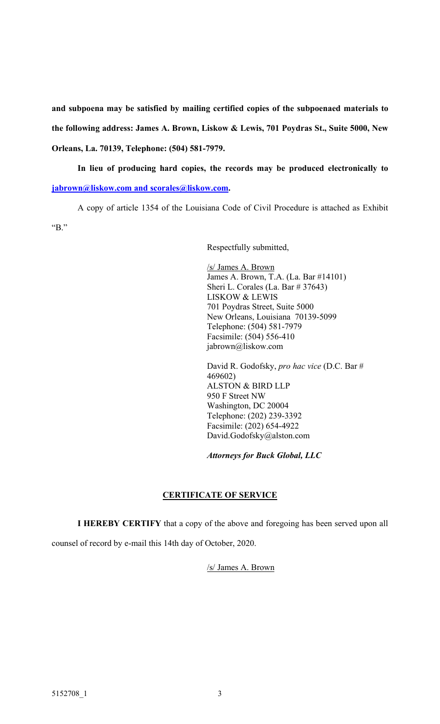and subpoena may be satisfied by mailing certified copies of the subpoenaed materials to the following address: James A. Brown, Liskow & Lewis, 701 Poydras St., Suite 5000, New Orleans, La. 70139, Telephone: (504) 581-7979.

In lieu of producing hard copies, the records may be produced electronically to jabrown@liskow.com and scorales@liskow.com.

A copy of article 1354 of the Louisiana Code of Civil Procedure is attached as Exhibit "B."

Respectfully submitted,

/s/ James A. Brown James A. Brown, T.A. (La. Bar #14101) Sheri L. Corales (La. Bar # 37643) LISKOW & LEWIS 701 Poydras Street, Suite 5000 New Orleans, Louisiana 70139-5099 Telephone: (504) 581-7979 Facsimile: (504) 556-410 jabrown@liskow.com

David R. Godofsky, pro hac vice (D.C. Bar # 469602) ALSTON & BIRD LLP 950 F Street NW Washington, DC 20004 Telephone: (202) 239-3392 Facsimile: (202) 654-4922 David.Godofsky@alston.com

Attorneys for Buck Global, LLC

# CERTIFICATE OF SERVICE

I HEREBY CERTIFY that a copy of the above and foregoing has been served upon all

counsel of record by e-mail this 14th day of October, 2020.

/s/ James A. Brown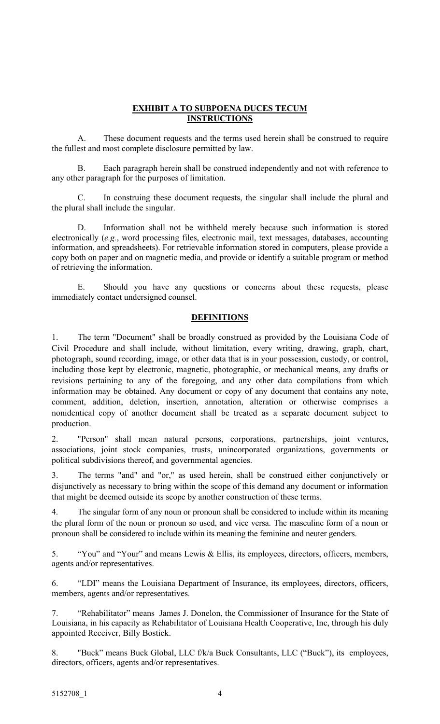## EXHIBIT A TO SUBPOENA DUCES TECUM **INSTRUCTIONS**

A. These document requests and the terms used herein shall be construed to require the fullest and most complete disclosure permitted by law.

B. Each paragraph herein shall be construed independently and not with reference to any other paragraph for the purposes of limitation.

C. In construing these document requests, the singular shall include the plural and the plural shall include the singular.

D. Information shall not be withheld merely because such information is stored electronically (e.g., word processing files, electronic mail, text messages, databases, accounting information, and spreadsheets). For retrievable information stored in computers, please provide a copy both on paper and on magnetic media, and provide or identify a suitable program or method of retrieving the information.

E. Should you have any questions or concerns about these requests, please immediately contact undersigned counsel.

## DEFINITIONS

1. The term "Document" shall be broadly construed as provided by the Louisiana Code of Civil Procedure and shall include, without limitation, every writing, drawing, graph, chart, photograph, sound recording, image, or other data that is in your possession, custody, or control, including those kept by electronic, magnetic, photographic, or mechanical means, any drafts or revisions pertaining to any of the foregoing, and any other data compilations from which information may be obtained. Any document or copy of any document that contains any note, comment, addition, deletion, insertion, annotation, alteration or otherwise comprises a nonidentical copy of another document shall be treated as a separate document subject to production.

2. "Person" shall mean natural persons, corporations, partnerships, joint ventures, associations, joint stock companies, trusts, unincorporated organizations, governments or political subdivisions thereof, and governmental agencies.

3. The terms "and" and "or," as used herein, shall be construed either conjunctively or disjunctively as necessary to bring within the scope of this demand any document or information that might be deemed outside its scope by another construction of these terms.

4. The singular form of any noun or pronoun shall be considered to include within its meaning the plural form of the noun or pronoun so used, and vice versa. The masculine form of a noun or pronoun shall be considered to include within its meaning the feminine and neuter genders.

5. "You" and "Your" and means Lewis & Ellis, its employees, directors, officers, members, agents and/or representatives.

6. "LDI" means the Louisiana Department of Insurance, its employees, directors, officers, members, agents and/or representatives.

7. "Rehabilitator" means James J. Donelon, the Commissioner of Insurance for the State of Louisiana, in his capacity as Rehabilitator of Louisiana Health Cooperative, Inc, through his duly appointed Receiver, Billy Bostick.

8. "Buck" means Buck Global, LLC f/k/a Buck Consultants, LLC ("Buck"), its employees, directors, officers, agents and/or representatives.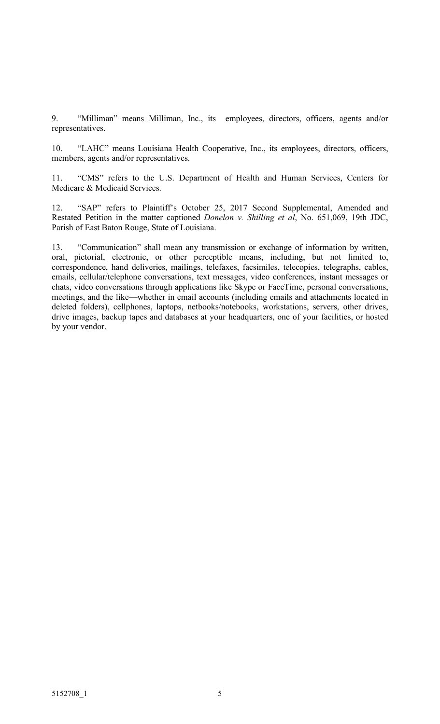9. "Milliman" means Milliman, Inc., its employees, directors, officers, agents and/or representatives.

10. "LAHC" means Louisiana Health Cooperative, Inc., its employees, directors, officers, members, agents and/or representatives.

11. "CMS" refers to the U.S. Department of Health and Human Services, Centers for Medicare & Medicaid Services.

12. "SAP" refers to Plaintiff's October 25, 2017 Second Supplemental, Amended and Restated Petition in the matter captioned Donelon v. Shilling et al, No. 651,069, 19th JDC, Parish of East Baton Rouge, State of Louisiana.

13. "Communication" shall mean any transmission or exchange of information by written, oral, pictorial, electronic, or other perceptible means, including, but not limited to, correspondence, hand deliveries, mailings, telefaxes, facsimiles, telecopies, telegraphs, cables, emails, cellular/telephone conversations, text messages, video conferences, instant messages or chats, video conversations through applications like Skype or FaceTime, personal conversations, meetings, and the like—whether in email accounts (including emails and attachments located in deleted folders), cellphones, laptops, netbooks/notebooks, workstations, servers, other drives, drive images, backup tapes and databases at your headquarters, one of your facilities, or hosted by your vendor.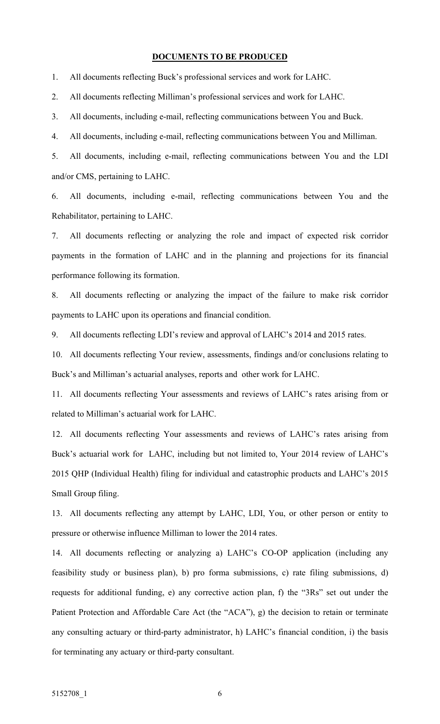## DOCUMENTS TO BE PRODUCED

1. All documents reflecting Buck's professional services and work for LAHC.

2. All documents reflecting Milliman's professional services and work for LAHC.

3. All documents, including e-mail, reflecting communications between You and Buck.

4. All documents, including e-mail, reflecting communications between You and Milliman.

5. All documents, including e-mail, reflecting communications between You and the LDI and/or CMS, pertaining to LAHC.

6. All documents, including e-mail, reflecting communications between You and the Rehabilitator, pertaining to LAHC.

7. All documents reflecting or analyzing the role and impact of expected risk corridor payments in the formation of LAHC and in the planning and projections for its financial performance following its formation.

8. All documents reflecting or analyzing the impact of the failure to make risk corridor payments to LAHC upon its operations and financial condition.

9. All documents reflecting LDI's review and approval of LAHC's 2014 and 2015 rates.

10. All documents reflecting Your review, assessments, findings and/or conclusions relating to Buck's and Milliman's actuarial analyses, reports and other work for LAHC.

11. All documents reflecting Your assessments and reviews of LAHC's rates arising from or related to Milliman's actuarial work for LAHC.

12. All documents reflecting Your assessments and reviews of LAHC's rates arising from Buck's actuarial work for LAHC, including but not limited to, Your 2014 review of LAHC's 2015 QHP (Individual Health) filing for individual and catastrophic products and LAHC's 2015 Small Group filing.

13. All documents reflecting any attempt by LAHC, LDI, You, or other person or entity to pressure or otherwise influence Milliman to lower the 2014 rates.

14. All documents reflecting or analyzing a) LAHC's CO-OP application (including any feasibility study or business plan), b) pro forma submissions, c) rate filing submissions, d) requests for additional funding, e) any corrective action plan, f) the "3Rs" set out under the Patient Protection and Affordable Care Act (the "ACA"), g) the decision to retain or terminate any consulting actuary or third-party administrator, h) LAHC's financial condition, i) the basis for terminating any actuary or third-party consultant.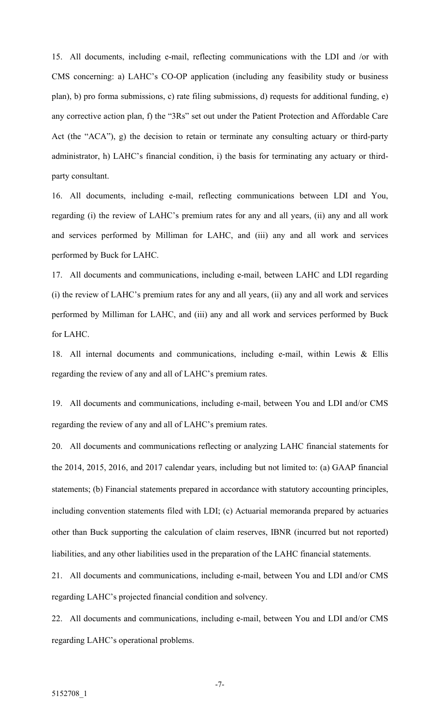15. All documents, including e-mail, reflecting communications with the LDI and /or with CMS concerning: a) LAHC's CO-OP application (including any feasibility study or business plan), b) pro forma submissions, c) rate filing submissions, d) requests for additional funding, e) any corrective action plan, f) the "3Rs" set out under the Patient Protection and Affordable Care Act (the "ACA"), g) the decision to retain or terminate any consulting actuary or third-party administrator, h) LAHC's financial condition, i) the basis for terminating any actuary or thirdparty consultant.

16. All documents, including e-mail, reflecting communications between LDI and You, regarding (i) the review of LAHC's premium rates for any and all years, (ii) any and all work and services performed by Milliman for LAHC, and (iii) any and all work and services performed by Buck for LAHC.

17. All documents and communications, including e-mail, between LAHC and LDI regarding (i) the review of LAHC's premium rates for any and all years, (ii) any and all work and services performed by Milliman for LAHC, and (iii) any and all work and services performed by Buck for LAHC.

18. All internal documents and communications, including e-mail, within Lewis & Ellis regarding the review of any and all of LAHC's premium rates.

19. All documents and communications, including e-mail, between You and LDI and/or CMS regarding the review of any and all of LAHC's premium rates.

20. All documents and communications reflecting or analyzing LAHC financial statements for the 2014, 2015, 2016, and 2017 calendar years, including but not limited to: (a) GAAP financial statements; (b) Financial statements prepared in accordance with statutory accounting principles, including convention statements filed with LDI; (c) Actuarial memoranda prepared by actuaries other than Buck supporting the calculation of claim reserves, IBNR (incurred but not reported) liabilities, and any other liabilities used in the preparation of the LAHC financial statements.

21. All documents and communications, including e-mail, between You and LDI and/or CMS regarding LAHC's projected financial condition and solvency.

22. All documents and communications, including e-mail, between You and LDI and/or CMS regarding LAHC's operational problems.

-7-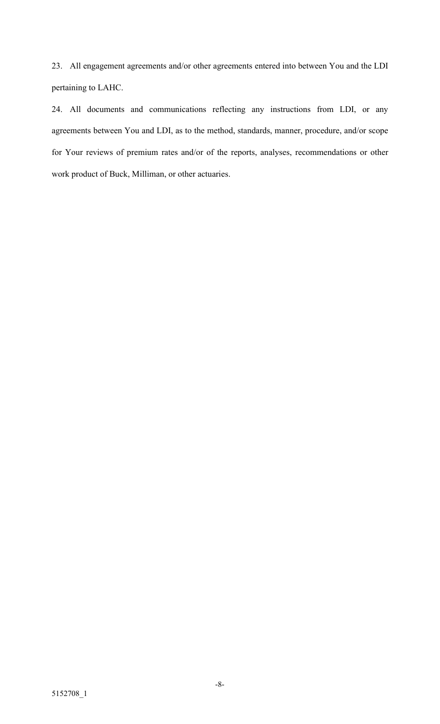23. All engagement agreements and/or other agreements entered into between You and the LDI pertaining to LAHC.

24. All documents and communications reflecting any instructions from LDI, or any agreements between You and LDI, as to the method, standards, manner, procedure, and/or scope for Your reviews of premium rates and/or of the reports, analyses, recommendations or other work product of Buck, Milliman, or other actuaries.